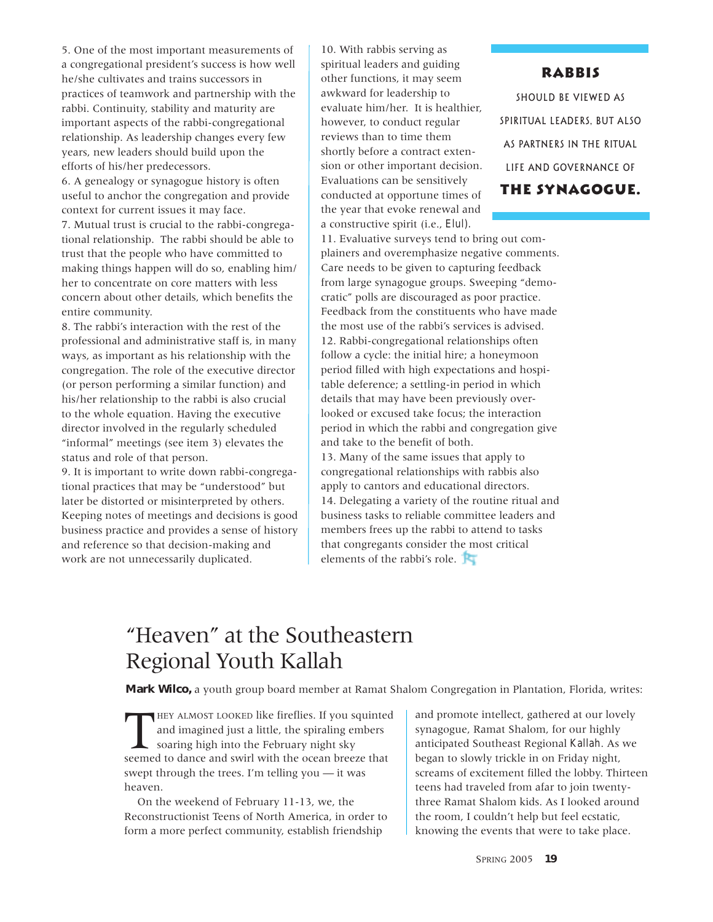## "Heaven" at the Southeastern Regional Youth Kallah

**Mark Wilco,** a youth group board member at Ramat Shalom Congregation in Plantation, Florida, writes:

THEY ALMOST LOOKED like fireflies. If you squinte and imagined just a little, the spiraling embers soaring high into the February night sky seemed to dance and swirl with the ocean breeze that HEY ALMOST LOOKED like fireflies. If you squinted and imagined just a little, the spiraling embers soaring high into the February night sky swept through the trees. I'm telling you — it was heaven.

On the weekend of February 11-13, we, the Reconstructionist Teens of North America, in order to form a more perfect community, establish friendship

and promote intellect, gathered at our lovely synagogue, Ramat Shalom, for our highly anticipated Southeast Regional *Kallah*. As we began to slowly trickle in on Friday night, screams of excitement filled the lobby. Thirteen teens had traveled from afar to join twentythree Ramat Shalom kids. As I looked around the room, I couldn't help but feel ecstatic, knowing the events that were to take place.

SPRING 2005 **19**